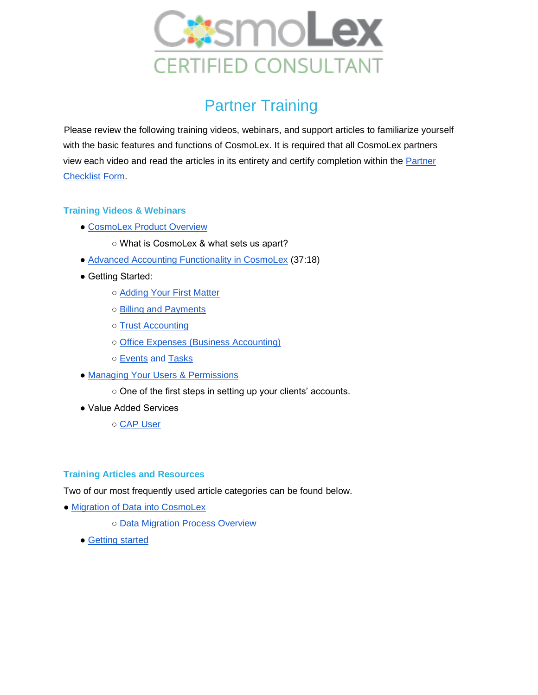

## Partner Training

Please review the following training videos, webinars, and support articles to familiarize yourself with the basic features and functions of CosmoLex. It is required that all CosmoLex partners view each video and read the articles in its entirety and certify completion within the Partner [Checklist Form.](https://docs.google.com/forms/d/1Be42F_0VOKIs-sW8ikOAegELbEgJYeQ93EZoEuCexYo/edit)

## **Training Videos & Webinars**

- ● [CosmoLex Product Overview](https://www.cosmolex.com/?video=overview)
	- What is CosmoLex & what sets us apart?
- ● [Advanced Accounting Functionality in CosmoLex](https://support.cosmolex.com/knowledge-base/webinar-advanced-accounting-functionality/) (37:18)
- Getting Started:
	- ○ [Adding Your First Matter](https://support.cosmolex.com/knowledge-base/manage-matters/)
	- ○ [Billing and Payments](https://support.cosmolex.com/articles/billing/)
	- ○ [Trust Accounting](https://support.cosmolex.com/knowledge-base/add-a-trust-withdrawal-transaction/)
	- ○ [Office Expenses \(Business Accounting\)](https://support.cosmolex.com/articles/business-accounting/)
	- ○ [Events](https://support.cosmolex.com/knowledge-base/add-edit-and-view-calendar-events/) and [Tasks](https://support.cosmolex.com/knowledge-base/add-edit-view-tasks/)
- • [Managing Your Users & Permissions](https://support.cosmolex.com/knowledge-base/manage-user-roles/)
	- One of the first steps in setting up your clients' accounts.
- Value Added Services
	- ○ [CAP User](https://support.cosmolex.com/knowledge-base/add-cosmolex-accounting-partner-cap-to-subscription/)

## **Training Articles and Resources**

Two of our most frequently used article categories can be found below.

- • [Migration of Data into CosmoLex](https://support.cosmolex.com/knowledge-base/migrate-your-data/)
	- ○ [Data Migration Process Overview](https://cosmolex.wistia.com/medias/uu6jtpurhb)
	- ● [Getting started](https://support.cosmolex.com/knowledge-base/firm-settings/)